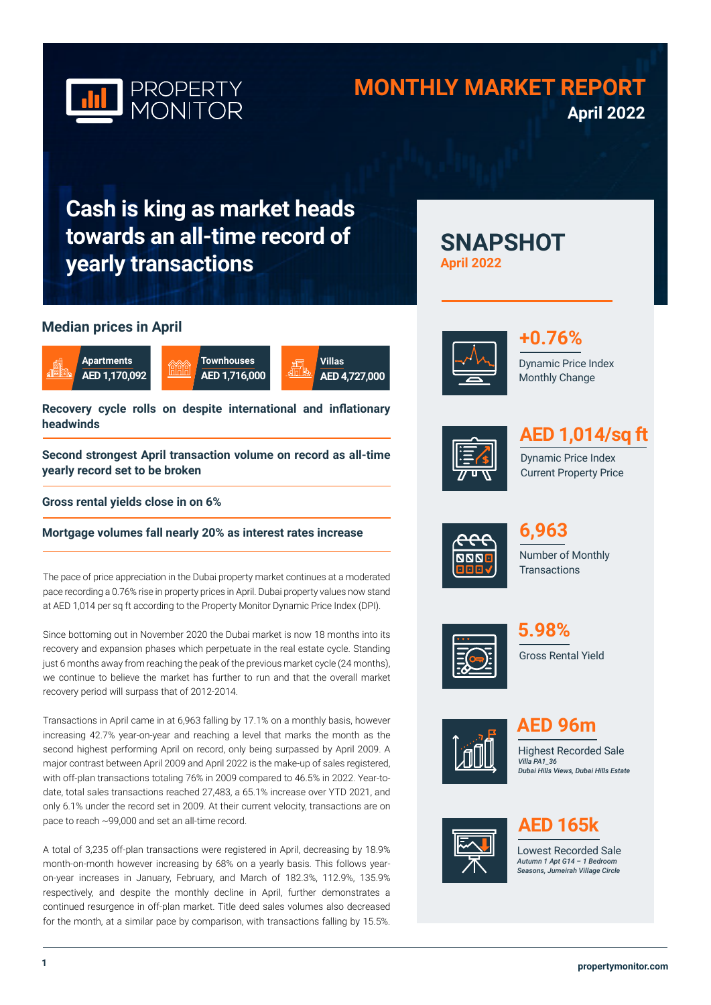

# **MONTHLY MARKET REPORT April 2022**

**SNAPSHOT** 

**Cash is king as market heads towards an all-time record of yearly transactions**

# **Median prices in April**







**Recovery cycle rolls on despite international and inflationary headwinds**

**Second strongest April transaction volume on record as all-time yearly record set to be broken**

**Gross rental yields close in on 6%**

**Mortgage volumes fall nearly 20% as interest rates increase**

The pace of price appreciation in the Dubai property market continues at a moderated pace recording a 0.76% rise in property prices in April. Dubai property values now stand at AED 1,014 per sq ft according to the Property Monitor Dynamic Price Index (DPI).

Since bottoming out in November 2020 the Dubai market is now 18 months into its recovery and expansion phases which perpetuate in the real estate cycle. Standing just 6 months away from reaching the peak of the previous market cycle (24 months), we continue to believe the market has further to run and that the overall market recovery period will surpass that of 2012-2014.

Transactions in April came in at 6,963 falling by 17.1% on a monthly basis, however increasing 42.7% year-on-year and reaching a level that marks the month as the second highest performing April on record, only being surpassed by April 2009. A major contrast between April 2009 and April 2022 is the make-up of sales registered, with off-plan transactions totaling 76% in 2009 compared to 46.5% in 2022. Year-todate, total sales transactions reached 27,483, a 65.1% increase over YTD 2021, and only 6.1% under the record set in 2009. At their current velocity, transactions are on pace to reach ~99,000 and set an all-time record.

A total of 3,235 off-plan transactions were registered in April, decreasing by 18.9% month-on-month however increasing by 68% on a yearly basis. This follows yearon-year increases in January, February, and March of 182.3%, 112.9%, 135.9% respectively, and despite the monthly decline in April, further demonstrates a continued resurgence in off-plan market. Title deed sales volumes also decreased for the month, at a similar pace by comparison, with transactions falling by 15.5%.



**April 2022**



Dynamic Price Index Monthly Change



# **AED 1,014/sq ft**

Dynamic Price Index Current Property Price



Number of Monthly **Transactions 6,963**



Gross Rental Yield **5.98%**



**AED 96m**

Highest Recorded Sale *Villa PA1\_36 Dubai Hills Views, Dubai Hills Estate*



# **AED 165k**

Lowest Recorded Sale *Autumn 1 Apt G14 – 1 Bedroom Seasons, Jumeirah Village Circle*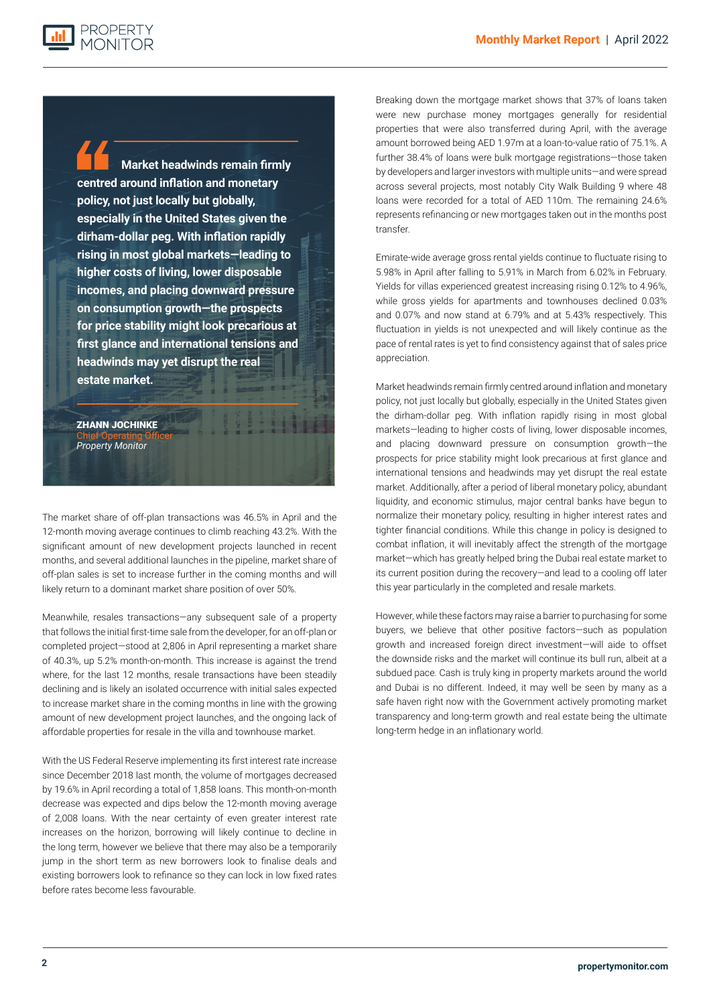**PROPERTY** 

**Market headwinds remain firmly centred around inflation and monetary policy, not just locally but globally, especially in the United States given the dirham-dollar peg. With inflation rapidly rising in most global markets—leading to higher costs of living, lower disposable incomes, and placing downward pressure on consumption growth—the prospects for price stability might look precarious at first glance and international tensions and headwinds may yet disrupt the real estate market.**

#### ZHANN JOCHINKE Chief Operating Officer

*Property Monitor*

The market share of off-plan transactions was 46.5% in April and the 12-month moving average continues to climb reaching 43.2%. With the significant amount of new development projects launched in recent months, and several additional launches in the pipeline, market share of off-plan sales is set to increase further in the coming months and will likely return to a dominant market share position of over 50%.

Meanwhile, resales transactions—any subsequent sale of a property that follows the initial first-time sale from the developer, for an off-plan or completed project—stood at 2,806 in April representing a market share of 40.3%, up 5.2% month-on-month. This increase is against the trend where, for the last 12 months, resale transactions have been steadily declining and is likely an isolated occurrence with initial sales expected to increase market share in the coming months in line with the growing amount of new development project launches, and the ongoing lack of affordable properties for resale in the villa and townhouse market.

With the US Federal Reserve implementing its first interest rate increase since December 2018 last month, the volume of mortgages decreased by 19.6% in April recording a total of 1,858 loans. This month-on-month decrease was expected and dips below the 12-month moving average of 2,008 loans. With the near certainty of even greater interest rate increases on the horizon, borrowing will likely continue to decline in the long term, however we believe that there may also be a temporarily jump in the short term as new borrowers look to finalise deals and existing borrowers look to refinance so they can lock in low fixed rates before rates become less favourable.

Breaking down the mortgage market shows that 37% of loans taken were new purchase money mortgages generally for residential properties that were also transferred during April, with the average amount borrowed being AED 1.97m at a loan-to-value ratio of 75.1%. A further 38.4% of loans were bulk mortgage registrations—those taken by developers and larger investors with multiple units—and were spread across several projects, most notably City Walk Building 9 where 48 loans were recorded for a total of AED 110m. The remaining 24.6% represents refinancing or new mortgages taken out in the months post transfer.

Emirate-wide average gross rental yields continue to fluctuate rising to 5.98% in April after falling to 5.91% in March from 6.02% in February. Yields for villas experienced greatest increasing rising 0.12% to 4.96%, while gross yields for apartments and townhouses declined 0.03% and 0.07% and now stand at 6.79% and at 5.43% respectively. This fluctuation in yields is not unexpected and will likely continue as the pace of rental rates is yet to find consistency against that of sales price appreciation.

Market headwinds remain firmly centred around inflation and monetary policy, not just locally but globally, especially in the United States given the dirham-dollar peg. With inflation rapidly rising in most global markets—leading to higher costs of living, lower disposable incomes, and placing downward pressure on consumption growth—the prospects for price stability might look precarious at first glance and international tensions and headwinds may yet disrupt the real estate market. Additionally, after a period of liberal monetary policy, abundant liquidity, and economic stimulus, major central banks have begun to normalize their monetary policy, resulting in higher interest rates and tighter financial conditions. While this change in policy is designed to combat inflation, it will inevitably affect the strength of the mortgage market—which has greatly helped bring the Dubai real estate market to its current position during the recovery—and lead to a cooling off later this year particularly in the completed and resale markets.

However, while these factors may raise a barrier to purchasing for some buyers, we believe that other positive factors—such as population growth and increased foreign direct investment—will aide to offset the downside risks and the market will continue its bull run, albeit at a subdued pace. Cash is truly king in property markets around the world and Dubai is no different. Indeed, it may well be seen by many as a safe haven right now with the Government actively promoting market transparency and long-term growth and real estate being the ultimate long-term hedge in an inflationary world.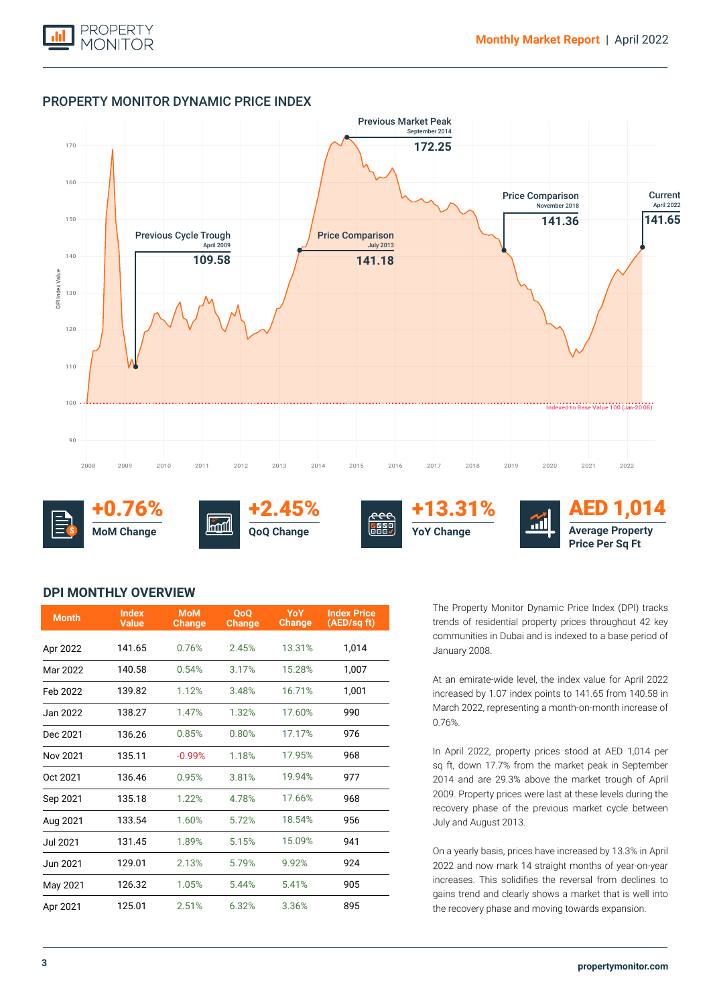

# PROPERTY MONITOR DYNAMIC PRICE INDEX



+0.76% **MoM Change \$**



+2.45% **QoQ Change**





AED 1,014 **Average Property Price Per Sq Ft**

# **DPI MONTHLY OVERVIEW**

| <b>Month</b> | <b>Index</b><br><b>Value</b> | <b>MoM</b><br><b>Change</b> | <b>OoO</b><br><b>Change</b> | YoY<br><b>Change</b> | <b>Index Price</b><br>(AED/sq ft) |
|--------------|------------------------------|-----------------------------|-----------------------------|----------------------|-----------------------------------|
| Apr 2022     | 141.65                       | 0.76%                       | 2.45%                       | 13.31%               | 1,014                             |
| Mar 2022     | 140.58                       | 0.54%                       | 3.17%                       | 15.28%               | 1,007                             |
| Feb 2022     | 139.82                       | 1.12%                       | 3.48%                       | 16.71%               | 1,001                             |
| Jan 2022     | 138.27                       | 1.47%                       | 1.32%                       | 17.60%               | 990                               |
| Dec 2021     | 136.26                       | 0.85%                       | 0.80%                       | 17.17%               | 976                               |
| Nov 2021     | 135.11                       | $-0.99%$                    | 1.18%                       | 17.95%               | 968                               |
| Oct 2021     | 136.46                       | 0.95%                       | 3.81%                       | 19.94%               | 977                               |
| Sep 2021     | 135.18                       | 1.22%                       | 4.78%                       | 17.66%               | 968                               |
| Aug 2021     | 133.54                       | 1.60%                       | 5.72%                       | 18.54%               | 956                               |
| Jul 2021     | 131.45                       | 1.89%                       | 5.15%                       | 15.09%               | 941                               |
| Jun 2021     | 129.01                       | 2.13%                       | 5.79%                       | 9.92%                | 924                               |
| May 2021     | 126.32                       | 1.05%                       | 5.44%                       | 5.41%                | 905                               |
| Apr 2021     | 125.01                       | 2.51%                       | 6.32%                       | 3.36%                | 895                               |

The Property Monitor Dynamic Price Index (DPI) tracks trends of residential property prices throughout 42 key communities in Dubai and is indexed to a base period of January 2008.

At an emirate-wide level, the index value for April 2022 increased by 1.07 index points to 141.65 from 140.58 in March 2022, representing a month-on-month increase of 0.76%.

In April 2022, property prices stood at AED 1,014 per sq ft, down 17.7% from the market peak in September 2014 and are 29.3% above the market trough of April 2009. Property prices were last at these levels during the recovery phase of the previous market cycle between July and August 2013.

On a yearly basis, prices have increased by 13.3% in April 2022 and now mark 14 straight months of year-on-year increases. This solidifies the reversal from declines to gains trend and clearly shows a market that is well into the recovery phase and moving towards expansion.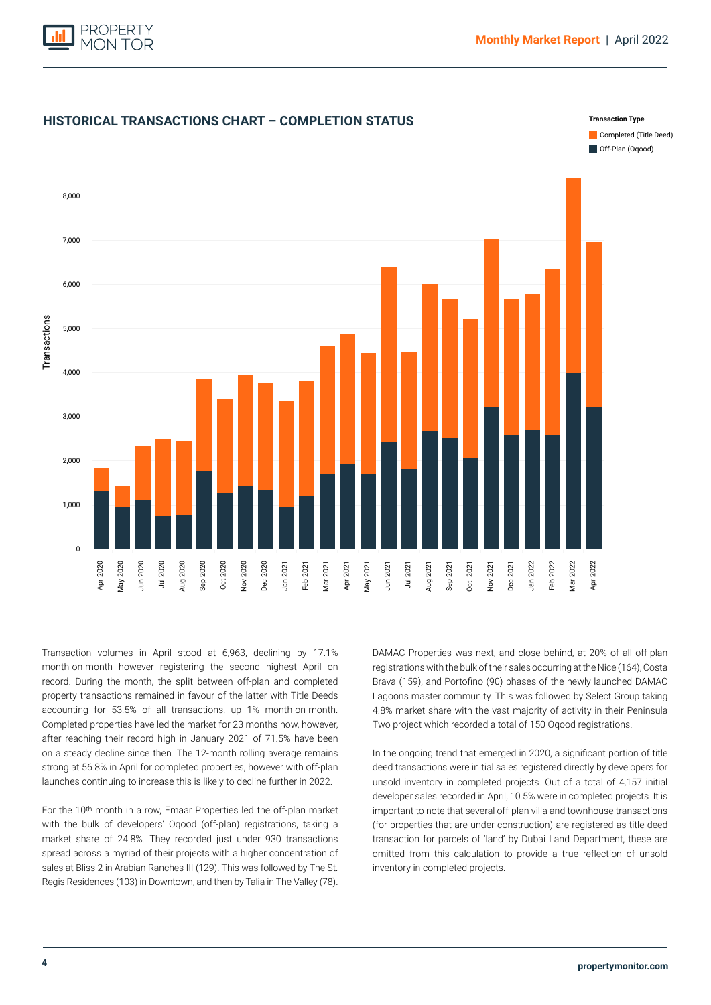



**HISTORICAL TRANSACTIONS CHART – COMPLETION STATUS**

accounting for 53.5% of all transactions, up 1% month-on-month. Completed properties have led the market for 23 months now, however, after reaching their record high in January 2021 of 71.5% have been Transaction volumes in April stood at 6,963, declining by 17.1% month-on-month however registering the second highest April on record. During the month, the split between off-plan and completed property transactions remained in favour of the latter with Title Deeds on a steady decline since then. The 12-month rolling average remains strong at 56.8% in April for completed properties, however with off-plan launches continuing to increase this is likely to decline further in 2022.

For the 10th month in a row, Emaar Properties led the off-plan market with the bulk of developers' Oqood (off-plan) registrations, taking a market share of 24.8%. They recorded just under 930 transactions spread across a myriad of their projects with a higher concentration of sales at Bliss 2 in Arabian Ranches III (129). This was followed by The St. Regis Residences (103) in Downtown, and then by Talia in The Valley (78).

DAMAC Properties was next, and close behind, at 20% of all off-plan registrations with the bulk of their sales occurring at the Nice (164), Costa Brava (159), and Portofino (90) phases of the newly launched DAMAC Lagoons master community. This was followed by Select Group taking 4.8% market share with the vast majority of activity in their Peninsula Two project which recorded a total of 150 Oqood registrations.

In the ongoing trend that emerged in 2020, a significant portion of title deed transactions were initial sales registered directly by developers for unsold inventory in completed projects. Out of a total of 4,157 initial developer sales recorded in April, 10.5% were in completed projects. It is important to note that several off-plan villa and townhouse transactions (for properties that are under construction) are registered as title deed transaction for parcels of 'land' by Dubai Land Department, these are omitted from this calculation to provide a true reflection of unsold inventory in completed projects.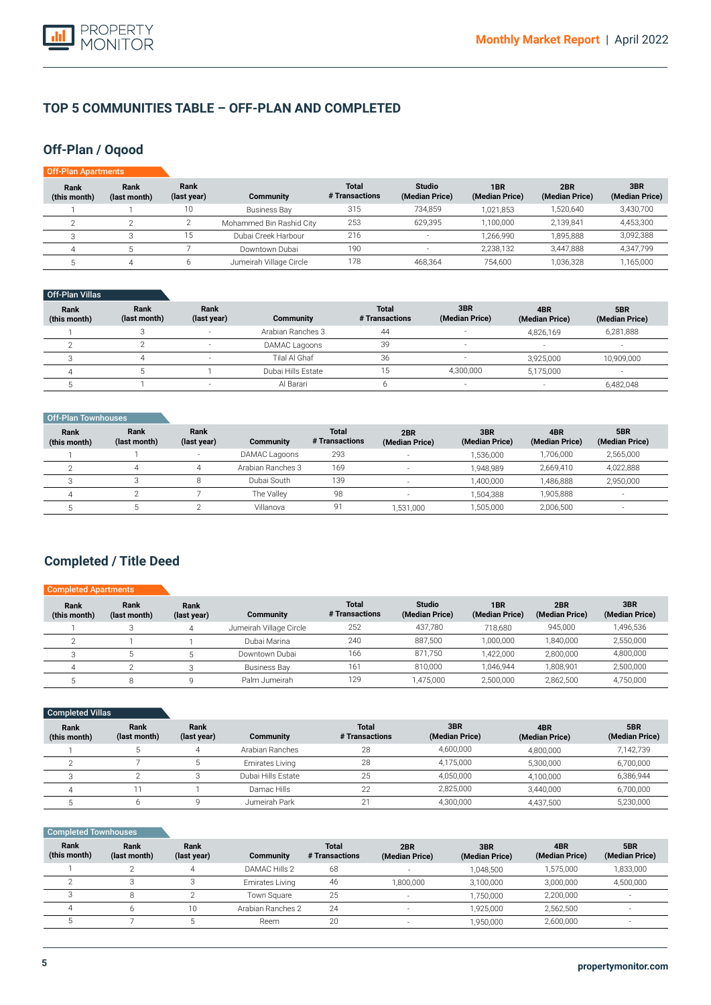

# **TOP 5 COMMUNITIES TABLE – OFF-PLAN AND COMPLETED**

# **Off-Plan / Oqood**

| <b>Off-Plan Apartments</b> |                      |                     |                          |                                |                                 |                                   |                       |                       |
|----------------------------|----------------------|---------------------|--------------------------|--------------------------------|---------------------------------|-----------------------------------|-----------------------|-----------------------|
| Rank<br>(this month)       | Rank<br>(last month) | Rank<br>(last year) | <b>Community</b>         | <b>Total</b><br># Transactions | <b>Studio</b><br>(Median Price) | 1 <sub>BR</sub><br>(Median Price) | 2BR<br>(Median Price) | 3BR<br>(Median Price) |
|                            |                      | 10                  | Business Bay             | 315                            | 734,859                         | 1,021,853                         | 1.520.640             | 3,430,700             |
|                            |                      |                     | Mohammed Bin Rashid City | 253                            | 629,395                         | 1,100,000                         | 2.139.841             | 4,453,300             |
|                            |                      | 15                  | Dubai Creek Harbour      | 216                            | <b>.</b>                        | 1,266,990                         | 1.895.888             | 3,092,388             |
|                            |                      |                     | Downtown Dubai           | 190                            |                                 | 2,238,132                         | 3.447.888             | 4,347,799             |
|                            | 4                    |                     | Jumeirah Village Circle  | 178                            | 468,364                         | 754,600                           | 1,036,328             | 1,165,000             |

## Off-Plan Villas

| Rank<br>(this month) | Rank<br>(last month) | Rank<br>(last year) | <b>Community</b>   | <b>Total</b><br># Transactions | 3BR<br>(Median Price)    | 4BR<br>(Median Price) | 5BR<br>(Median Price) |
|----------------------|----------------------|---------------------|--------------------|--------------------------------|--------------------------|-----------------------|-----------------------|
|                      |                      |                     | Arabian Ranches 3  | 44                             |                          | 4,826,169             | 6,281,888             |
|                      |                      |                     | DAMAC Lagoons      | 39                             |                          |                       |                       |
|                      |                      |                     | Tilal Al Ghaf      | 36                             |                          | 3,925,000             | 10,909,000            |
|                      |                      |                     | Dubai Hills Estate | 15.                            | 4.300.000                | 5,175,000             |                       |
|                      |                      |                     | Al Barari          |                                | $\overline{\phantom{a}}$ |                       | 6,482,048             |

| Off-Plan Townhouses         |                      |                          |                   |                                |                       |                       |                       |                          |
|-----------------------------|----------------------|--------------------------|-------------------|--------------------------------|-----------------------|-----------------------|-----------------------|--------------------------|
| <b>Rank</b><br>(this month) | Rank<br>(last month) | Rank<br>(last year)      | <b>Community</b>  | <b>Total</b><br># Transactions | 2BR<br>(Median Price) | 3BR<br>(Median Price) | 4BR<br>(Median Price) | 5BR<br>(Median Price)    |
|                             |                      | $\overline{\phantom{a}}$ | DAMAC Lagoons     | 293                            |                       | 1.536.000             | 1,706,000             | 2,565,000                |
| $\bigcap$                   |                      | 4                        | Arabian Ranches 3 | 169                            |                       | 1.948.989             | 2,669,410             | 4,022,888                |
| $\bigcap$                   |                      | 8                        | Dubai South       | 139                            |                       | 1,400,000             | ,486,888              | 2,950,000                |
|                             |                      |                          | The Vallev        | 98                             |                       | 1.504.388             | 1,905,888             | $\overline{\phantom{a}}$ |
|                             |                      |                          | Villanova         | 91                             | 1,531,000             | 1,505,000             | 2,006,500             | $\overline{\phantom{a}}$ |

# **Completed / Title Deed**

| <b>COMPLETED</b> / THE DEED |  |  |
|-----------------------------|--|--|
|                             |  |  |

| <b>Completed Apartments</b> |                      |                     |                         |                                |                                 |                       |                       |                       |
|-----------------------------|----------------------|---------------------|-------------------------|--------------------------------|---------------------------------|-----------------------|-----------------------|-----------------------|
| Rank<br>(this month)        | Rank<br>(last month) | Rank<br>(last year) | Community               | <b>Total</b><br># Transactions | <b>Studio</b><br>(Median Price) | 1BR<br>(Median Price) | 2BR<br>(Median Price) | 3BR<br>(Median Price) |
|                             |                      | 4                   | Jumeirah Village Circle | 252                            | 437.780                         | 718.680               | 945,000               | 1,496,536             |
|                             |                      |                     | Dubai Marina            | 240                            | 887.500                         | 1.000.000             | 1,840,000             | 2,550,000             |
|                             |                      |                     | Downtown Dubai          | 166                            | 871.750                         | 422,000               | 2,800,000             | 4,800,000             |
|                             |                      |                     | <b>Business Bay</b>     | 161                            | 810.000                         | 1.046.944             | 1,808,901             | 2,500,000             |
|                             |                      |                     | Palm Jumeirah           | 129                            | 1,475,000                       | 2,500,000             | 2,862,500             | 4,750,000             |

| Completed Villas     |                      |                     |                    |                                |                       |                       |                       |
|----------------------|----------------------|---------------------|--------------------|--------------------------------|-----------------------|-----------------------|-----------------------|
| Rank<br>(this month) | Rank<br>(last month) | Rank<br>(last year) | Community          | <b>Total</b><br># Transactions | 3BR<br>(Median Price) | 4BR<br>(Median Price) | 5BR<br>(Median Price) |
|                      |                      | 4                   | Arabian Ranches    | 28                             | 4,600,000             | 4,800,000             | 7,142,739             |
|                      |                      |                     | Emirates Living    | 28                             | 4,175,000             | 5,300,000             | 6,700,000             |
|                      |                      |                     | Dubai Hills Estate | 25                             | 4,050,000             | 4,100,000             | 6,386,944             |
|                      |                      |                     | Damac Hills        | 22                             | 2,825,000             | 3,440,000             | 6,700,000             |
|                      |                      |                     | Jumeirah Park      | 21                             | 4,300,000             | 4,437,500             | 5,230,000             |

| Completed Townhouses |                    |                   |
|----------------------|--------------------|-------------------|
| Rank                 | Rank               | Rank              |
| (this month)         | $($ laet month $)$ | $($ laet vear $)$ |

| Rank<br>(this month) | Rank<br>(last month) | <b>Rank</b><br>(last year) | Community         | <b>Total</b><br># Transactions | 2BR<br>(Median Price) | 3BR<br>(Median Price) | 4BR<br>(Median Price) | 5BR<br>(Median Price)    |  |
|----------------------|----------------------|----------------------------|-------------------|--------------------------------|-----------------------|-----------------------|-----------------------|--------------------------|--|
|                      |                      |                            | DAMAC Hills 2     | 68                             |                       | 1.048.500             | 1,575,000             | 1,833,000                |  |
|                      |                      |                            | Emirates Living   | 46                             | 1.800.000             | 3.100.000             | 3.000.000             | 4,500,000                |  |
|                      |                      |                            | Town Sauare       | 25                             | . .                   | 1.750.000             | 2,200,000             |                          |  |
|                      |                      |                            | Arabian Ranches 2 | 24                             |                       | 1,925,000             | 2,562,500             | $\overline{\phantom{a}}$ |  |
|                      |                      |                            | Reem              | 20                             | -                     | 1,950,000             | 2,600,000             |                          |  |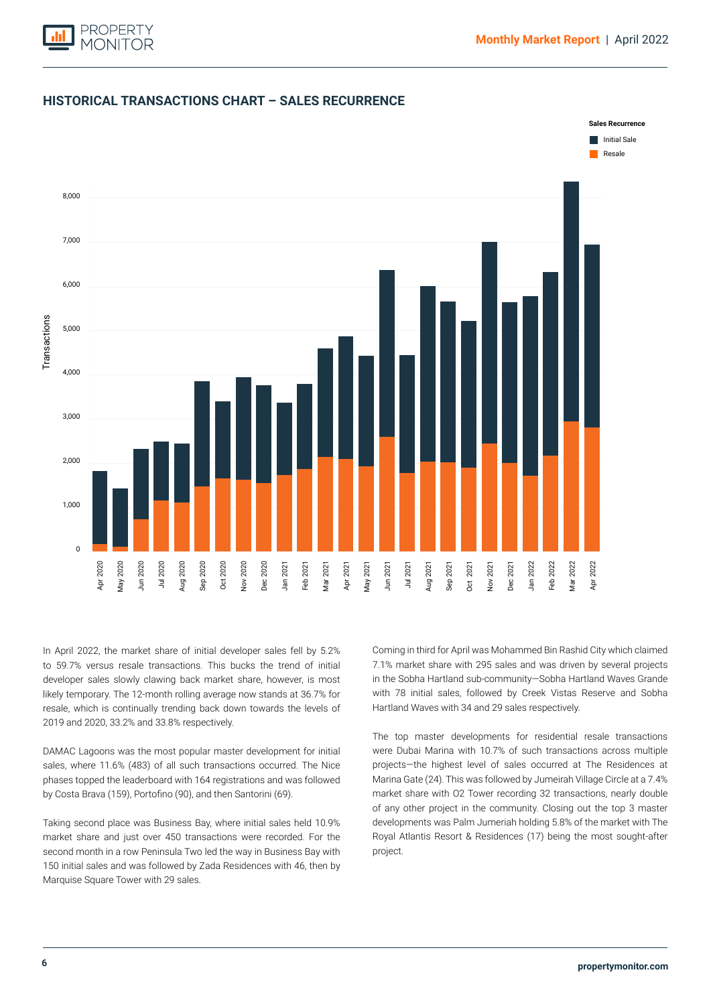



# **HISTORICAL TRANSACTIONS CHART – SALES RECURRENCE**

In April 2022, the market share of initial developer sales fell by 5.2% to 59.7% versus resale transactions. This bucks the trend of initial developer sales slowly clawing back market share, however, is most likely temporary. The 12-month rolling average now stands at 36.7% for resale, which is continually trending back down towards the levels of 2019 and 2020, 33.2% and 33.8% respectively.

DAMAC Lagoons was the most popular master development for initial sales, where 11.6% (483) of all such transactions occurred. The Nice phases topped the leaderboard with 164 registrations and was followed by Costa Brava (159), Portofino (90), and then Santorini (69).

Taking second place was Business Bay, where initial sales held 10.9% market share and just over 450 transactions were recorded. For the second month in a row Peninsula Two led the way in Business Bay with 150 initial sales and was followed by Zada Residences with 46, then by Marquise Square Tower with 29 sales.

Coming in third for April was Mohammed Bin Rashid City which claimed 7.1% market share with 295 sales and was driven by several projects in the Sobha Hartland sub-community—Sobha Hartland Waves Grande with 78 initial sales, followed by Creek Vistas Reserve and Sobha Hartland Waves with 34 and 29 sales respectively.

The top master developments for residential resale transactions were Dubai Marina with 10.7% of such transactions across multiple projects—the highest level of sales occurred at The Residences at Marina Gate (24). This was followed by Jumeirah Village Circle at a 7.4% market share with O2 Tower recording 32 transactions, nearly double of any other project in the community. Closing out the top 3 master developments was Palm Jumeriah holding 5.8% of the market with The Royal Atlantis Resort & Residences (17) being the most sought-after project.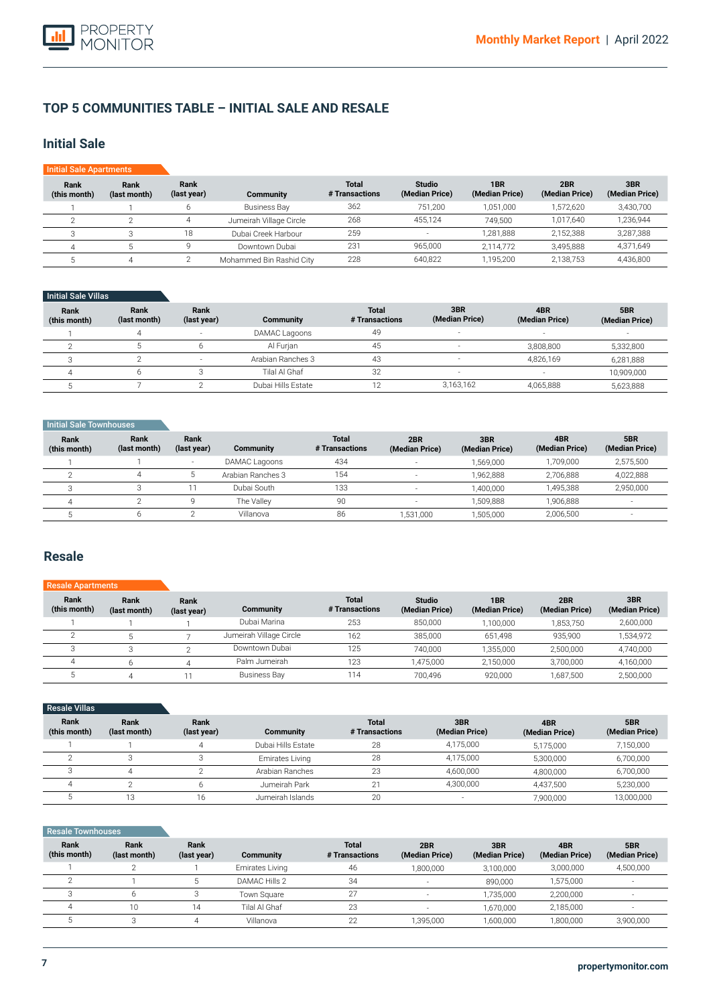

# **TOP 5 COMMUNITIES TABLE – INITIAL SALE AND RESALE**

# **Initial Sale**

| <b>Initial Sale Apartments</b> |                      |                     |                          |                                |                                 |                       |                       |                       |
|--------------------------------|----------------------|---------------------|--------------------------|--------------------------------|---------------------------------|-----------------------|-----------------------|-----------------------|
| Rank<br>(this month)           | Rank<br>(last month) | Rank<br>(last year) | Community                | <b>Total</b><br># Transactions | <b>Studio</b><br>(Median Price) | 1BR<br>(Median Price) | 2BR<br>(Median Price) | 3BR<br>(Median Price) |
|                                |                      |                     | <b>Business Bay</b>      | 362                            | 751.200                         | 1,051,000             | 1,572,620             | 3,430,700             |
|                                |                      | 4                   | Jumeirah Village Circle  | 268                            | 455.124                         | 749.500               | 1.017.640             | 1,236,944             |
|                                |                      | 18                  | Dubai Creek Harbour      | 259                            | $\sim$                          | 1.281.888             | 2.152.388             | 3,287,388             |
|                                |                      |                     | Downtown Dubai           | 231                            | 965,000                         | 2,114,772             | 3,495,888             | 4,371,649             |
|                                |                      |                     | Mohammed Bin Rashid City | 228                            | 640,822                         | 1,195,200             | 2,138,753             | 4,436,800             |

## Initial Sale Villas

| Rank<br>(this month) | Rank<br>(last month) | Rank<br>(last year)      | Community          | <b>Total</b><br># Transactions | 3BR<br>(Median Price)    | 4BR<br>(Median Price) | 5BR<br>(Median Price) |
|----------------------|----------------------|--------------------------|--------------------|--------------------------------|--------------------------|-----------------------|-----------------------|
|                      |                      | $\overline{\phantom{a}}$ | DAMAC Lagoons      | 49                             | $\sim$                   | $\sim$                | $\sim$                |
|                      |                      |                          | Al Furian          | 45                             |                          | 3.808.800             | 5,332,800             |
|                      |                      |                          | Arabian Ranches 3  | 43                             | -                        | 4.826.169             | 6,281,888             |
|                      |                      |                          | Tilal Al Ghaf      | 32                             | $\overline{\phantom{a}}$ |                       | 10,909,000            |
|                      |                      |                          | Dubai Hills Estate | $\sim$                         | 3,163,162                | 4,065,888             | 5,623,888             |

## **Initial Sale Townhouses**

| Rank<br>(this month) | Rank<br>(last month) | Rank<br>(last year) | <b>Community</b>  | <b>Total</b><br># Transactions | 2BR<br>(Median Price)    | 3BR<br>(Median Price) | 4BR<br>(Median Price) | 5BR<br>(Median Price) |
|----------------------|----------------------|---------------------|-------------------|--------------------------------|--------------------------|-----------------------|-----------------------|-----------------------|
|                      |                      | $\sim$              | DAMAC Lagoons     | 434                            | $\overline{\phantom{a}}$ | .569.000              | 1,709,000             | 2,575,500             |
|                      |                      |                     | Arabian Ranches 3 | 154                            |                          | 1.962.888             | 2.706.888             | 4,022,888             |
|                      |                      |                     | Dubai South       | 133                            |                          | 1.400.000             | 1.495.388             | 2,950,000             |
|                      |                      |                     | The Vallev        | 90                             | $\overline{\phantom{a}}$ | .509.888              | 1.906.888             |                       |
|                      |                      |                     | Villanova         | 86                             | 1,531,000                | .505.000              | 2,006,500             |                       |

# **Resale**

#### **Rank (this month)** 1  $\overline{2}$ 3 4 5 **Rank (last month)** 1 5 3 6 4 **Rank (last year)** 1 7  $\overline{2}$ 4 11 **Community**  Dubai Marina Jumeirah Village Circle Downtown Dubai Palm Jumeirah Business Bay **Total # Transactions** 253 162 125 123 114 Resale Apartments **Studio (Median Price)** 850,000 385,000 740,000 1,475,000 700,496 **1BR (Median Price)** 1,100,000 651,498 1,355,000 2,150,000 920,000 **2BR (Median Price)** 1,853,750 935,900 2,500,000 3,700,000 1,687,500 **3BR (Median Price)** 2,600,000 1,534,972 4,740,000 4,160,000 2,500,000

| <b>Resale Villas</b> |                      |                     |                    |                                |                          |                       |                       |
|----------------------|----------------------|---------------------|--------------------|--------------------------------|--------------------------|-----------------------|-----------------------|
| Rank<br>(this month) | Rank<br>(last month) | Rank<br>(last year) | <b>Community</b>   | <b>Total</b><br># Transactions | 3BR<br>(Median Price)    | 4BR<br>(Median Price) | 5BR<br>(Median Price) |
|                      |                      | 4                   | Dubai Hills Estate | 28                             | 4,175,000                | 5.175.000             | 7,150,000             |
|                      |                      |                     | Emirates Living    | 28                             | 4.175.000                | 5.300.000             | 6,700,000             |
|                      |                      |                     | Arabian Ranches    | 23                             | 4,600,000                | 4,800,000             | 6,700,000             |
|                      |                      |                     | Jumeirah Park      | 01                             | 4,300,000                | 4.437.500             | 5,230,000             |
|                      | 13                   | 16                  | Jumeirah Islands   | 20                             | $\overline{\phantom{a}}$ | 7,900,000             | 13,000,000            |

## Resale Townhouses

| Rank<br>(this month) | Rank<br>(last month) | Rank<br>(last year) | Community       | <b>Total</b><br># Transactions | 2BR<br>(Median Price) | 3BR<br>(Median Price) | 4BR<br>(Median Price) | 5BR<br>(Median Price) |
|----------------------|----------------------|---------------------|-----------------|--------------------------------|-----------------------|-----------------------|-----------------------|-----------------------|
|                      |                      |                     | Emirates Living | 46                             | 1,800,000             | 3,100,000             | 3,000,000             | 4,500,000             |
|                      |                      |                     | DAMAC Hills 2   | 34                             |                       | 890.000               | 1,575,000             |                       |
|                      |                      |                     | Town Square     | 27                             |                       | 1.735.000             | 2,200,000             |                       |
|                      | 10                   | 14                  | Tilal Al Ghaf   | 23                             |                       | 1.670.000             | 2,185,000             |                       |
|                      |                      |                     | Villanova       | 22                             | 1,395,000             | 1,600,000             | 1,800,000             | 3,900,000             |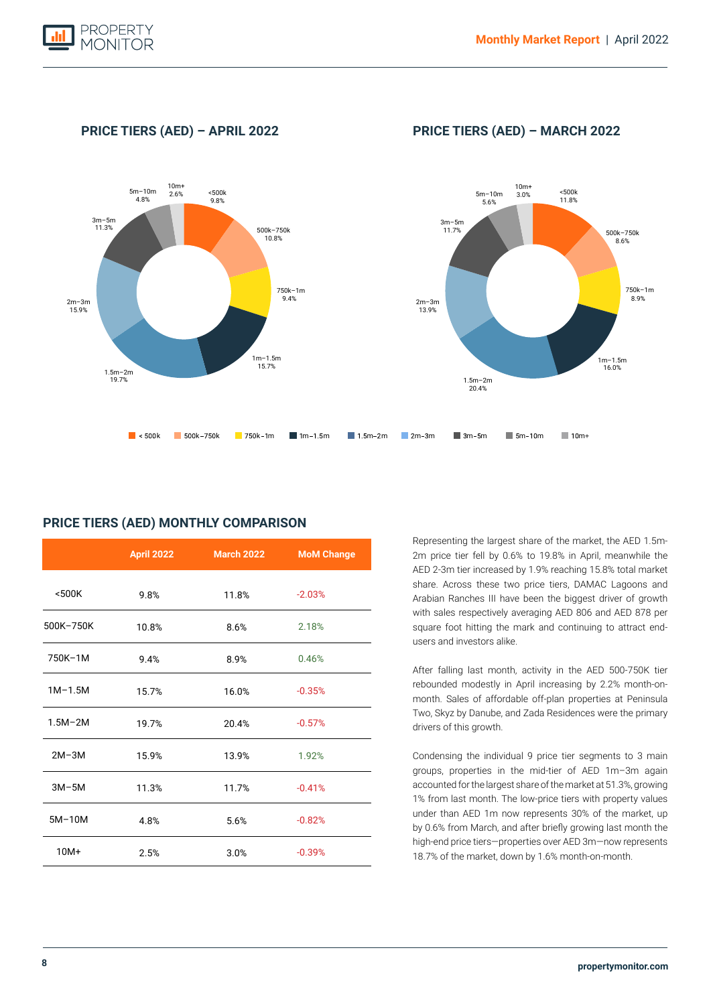

**PRICE TIERS (AED) – APRIL 2022 PRICE TIERS (AED) – MARCH 2022**



|             | <b>April 2022</b> | <b>March 2022</b> | <b>MoM Change</b> |
|-------------|-------------------|-------------------|-------------------|
| $500K$      | 9.8%              | 11.8%             | $-2.03%$          |
| 500K-750K   | 10.8%             | 8.6%              | 2.18%             |
| 750K-1M     | 9.4%              | 8.9%              | 0.46%             |
| $1M-1.5M$   | 15.7%             | 16.0%             | $-0.35%$          |
| $1.5M - 2M$ | 19.7%             | 20.4%             | $-0.57%$          |
| $2M-3M$     | 15.9%             | 13.9%             | 1.92%             |
| $3M-5M$     | 11.3%             | 11.7%             | $-0.41%$          |
| $5M-10M$    | 4.8%              | 5.6%              | $-0.82%$          |
| $10M+$      | 2.5%              | 3.0%              | $-0.39%$          |

# **PRICE TIERS (AED) MONTHLY COMPARISON**

Representing the largest share of the market, the AED 1.5m-2m price tier fell by 0.6% to 19.8% in April, meanwhile the AED 2-3m tier increased by 1.9% reaching 15.8% total market share. Across these two price tiers, DAMAC Lagoons and Arabian Ranches III have been the biggest driver of growth with sales respectively averaging AED 806 and AED 878 per square foot hitting the mark and continuing to attract endusers and investors alike.

After falling last month, activity in the AED 500-750K tier rebounded modestly in April increasing by 2.2% month-onmonth. Sales of affordable off-plan properties at Peninsula Two, Skyz by Danube, and Zada Residences were the primary drivers of this growth.

Condensing the individual 9 price tier segments to 3 main groups, properties in the mid-tier of AED 1m–3m again accounted for the largest share of the market at 51.3%, growing 1% from last month. The low-price tiers with property values under than AED 1m now represents 30% of the market, up by 0.6% from March, and after briefly growing last month the high-end price tiers—properties over AED 3m—now represents 18.7% of the market, down by 1.6% month-on-month.